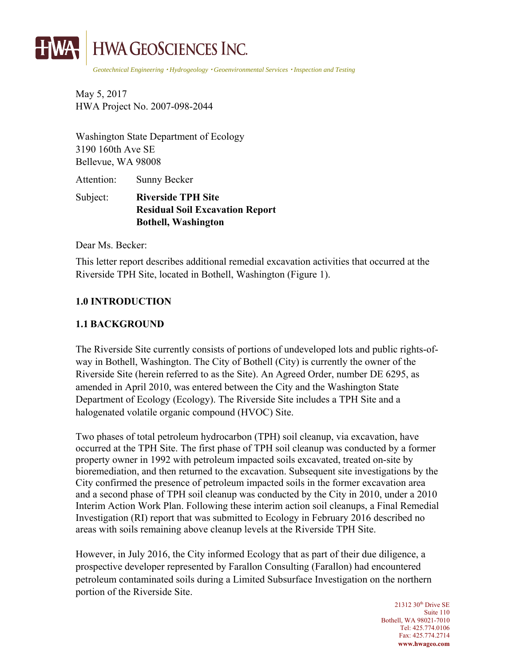

*Geotechnical Engineering Hydrogeology Geoenvironmental Services Inspection and Testing* 

May 5, 2017 HWA Project No. 2007-098-2044

Washington State Department of Ecology 3190 160th Ave SE Bellevue, WA 98008

Attention: Sunny Becker

Subject: **Riverside TPH Site Residual Soil Excavation Report Bothell, Washington** 

Dear Ms. Becker:

This letter report describes additional remedial excavation activities that occurred at the Riverside TPH Site, located in Bothell, Washington (Figure 1).

#### **1.0 INTRODUCTION**

#### **1.1 BACKGROUND**

The Riverside Site currently consists of portions of undeveloped lots and public rights-ofway in Bothell, Washington. The City of Bothell (City) is currently the owner of the Riverside Site (herein referred to as the Site). An Agreed Order, number DE 6295, as amended in April 2010, was entered between the City and the Washington State Department of Ecology (Ecology). The Riverside Site includes a TPH Site and a halogenated volatile organic compound (HVOC) Site.

Two phases of total petroleum hydrocarbon (TPH) soil cleanup, via excavation, have occurred at the TPH Site. The first phase of TPH soil cleanup was conducted by a former property owner in 1992 with petroleum impacted soils excavated, treated on-site by bioremediation, and then returned to the excavation. Subsequent site investigations by the City confirmed the presence of petroleum impacted soils in the former excavation area and a second phase of TPH soil cleanup was conducted by the City in 2010, under a 2010 Interim Action Work Plan. Following these interim action soil cleanups, a Final Remedial Investigation (RI) report that was submitted to Ecology in February 2016 described no areas with soils remaining above cleanup levels at the Riverside TPH Site.

However, in July 2016, the City informed Ecology that as part of their due diligence, a prospective developer represented by Farallon Consulting (Farallon) had encountered petroleum contaminated soils during a Limited Subsurface Investigation on the northern portion of the Riverside Site.

> 21312 30<sup>th</sup> Drive SE Suite 110 Bothell, WA 98021-7010 Tel: 425.774.0106 Fax: 425.774.2714 **www.hwageo.com**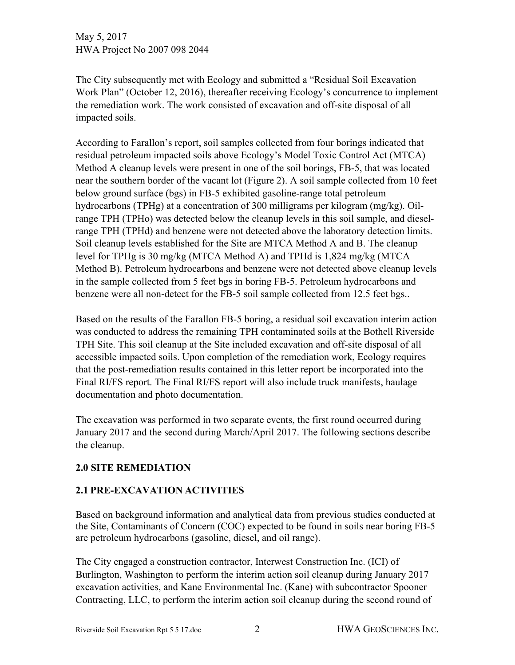The City subsequently met with Ecology and submitted a "Residual Soil Excavation Work Plan" (October 12, 2016), thereafter receiving Ecology's concurrence to implement the remediation work. The work consisted of excavation and off-site disposal of all impacted soils.

According to Farallon's report, soil samples collected from four borings indicated that residual petroleum impacted soils above Ecology's Model Toxic Control Act (MTCA) Method A cleanup levels were present in one of the soil borings, FB-5, that was located near the southern border of the vacant lot (Figure 2). A soil sample collected from 10 feet below ground surface (bgs) in FB-5 exhibited gasoline-range total petroleum hydrocarbons (TPHg) at a concentration of 300 milligrams per kilogram (mg/kg). Oilrange TPH (TPHo) was detected below the cleanup levels in this soil sample, and dieselrange TPH (TPHd) and benzene were not detected above the laboratory detection limits. Soil cleanup levels established for the Site are MTCA Method A and B. The cleanup level for TPHg is 30 mg/kg (MTCA Method A) and TPHd is 1,824 mg/kg (MTCA Method B). Petroleum hydrocarbons and benzene were not detected above cleanup levels in the sample collected from 5 feet bgs in boring FB-5. Petroleum hydrocarbons and benzene were all non-detect for the FB-5 soil sample collected from 12.5 feet bgs..

Based on the results of the Farallon FB-5 boring, a residual soil excavation interim action was conducted to address the remaining TPH contaminated soils at the Bothell Riverside TPH Site. This soil cleanup at the Site included excavation and off-site disposal of all accessible impacted soils. Upon completion of the remediation work, Ecology requires that the post-remediation results contained in this letter report be incorporated into the Final RI/FS report. The Final RI/FS report will also include truck manifests, haulage documentation and photo documentation.

The excavation was performed in two separate events, the first round occurred during January 2017 and the second during March/April 2017. The following sections describe the cleanup.

#### **2.0 SITE REMEDIATION**

#### **2.1 PRE-EXCAVATION ACTIVITIES**

Based on background information and analytical data from previous studies conducted at the Site, Contaminants of Concern (COC) expected to be found in soils near boring FB-5 are petroleum hydrocarbons (gasoline, diesel, and oil range).

The City engaged a construction contractor, Interwest Construction Inc. (ICI) of Burlington, Washington to perform the interim action soil cleanup during January 2017 excavation activities, and Kane Environmental Inc. (Kane) with subcontractor Spooner Contracting, LLC, to perform the interim action soil cleanup during the second round of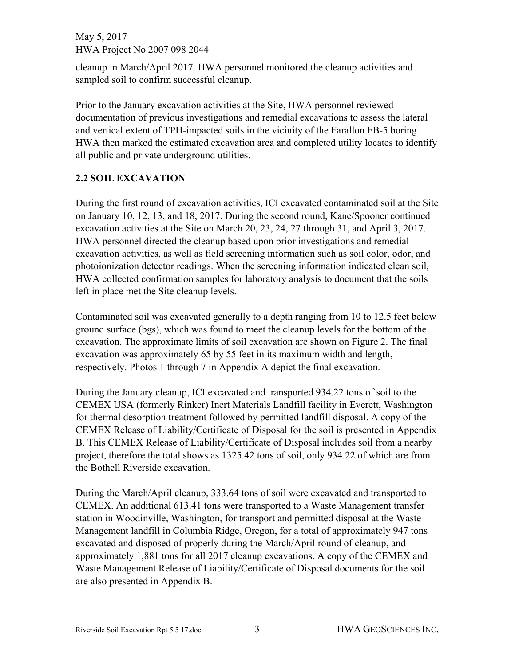cleanup in March/April 2017. HWA personnel monitored the cleanup activities and sampled soil to confirm successful cleanup.

Prior to the January excavation activities at the Site, HWA personnel reviewed documentation of previous investigations and remedial excavations to assess the lateral and vertical extent of TPH-impacted soils in the vicinity of the Farallon FB-5 boring. HWA then marked the estimated excavation area and completed utility locates to identify all public and private underground utilities.

### **2.2 SOIL EXCAVATION**

During the first round of excavation activities, ICI excavated contaminated soil at the Site on January 10, 12, 13, and 18, 2017. During the second round, Kane/Spooner continued excavation activities at the Site on March 20, 23, 24, 27 through 31, and April 3, 2017. HWA personnel directed the cleanup based upon prior investigations and remedial excavation activities, as well as field screening information such as soil color, odor, and photoionization detector readings. When the screening information indicated clean soil, HWA collected confirmation samples for laboratory analysis to document that the soils left in place met the Site cleanup levels.

Contaminated soil was excavated generally to a depth ranging from 10 to 12.5 feet below ground surface (bgs), which was found to meet the cleanup levels for the bottom of the excavation. The approximate limits of soil excavation are shown on Figure 2. The final excavation was approximately 65 by 55 feet in its maximum width and length, respectively. Photos 1 through 7 in Appendix A depict the final excavation.

During the January cleanup, ICI excavated and transported 934.22 tons of soil to the CEMEX USA (formerly Rinker) Inert Materials Landfill facility in Everett, Washington for thermal desorption treatment followed by permitted landfill disposal. A copy of the CEMEX Release of Liability/Certificate of Disposal for the soil is presented in Appendix B. This CEMEX Release of Liability/Certificate of Disposal includes soil from a nearby project, therefore the total shows as 1325.42 tons of soil, only 934.22 of which are from the Bothell Riverside excavation.

During the March/April cleanup, 333.64 tons of soil were excavated and transported to CEMEX. An additional 613.41 tons were transported to a Waste Management transfer station in Woodinville, Washington, for transport and permitted disposal at the Waste Management landfill in Columbia Ridge, Oregon, for a total of approximately 947 tons excavated and disposed of properly during the March/April round of cleanup, and approximately 1,881 tons for all 2017 cleanup excavations. A copy of the CEMEX and Waste Management Release of Liability/Certificate of Disposal documents for the soil are also presented in Appendix B.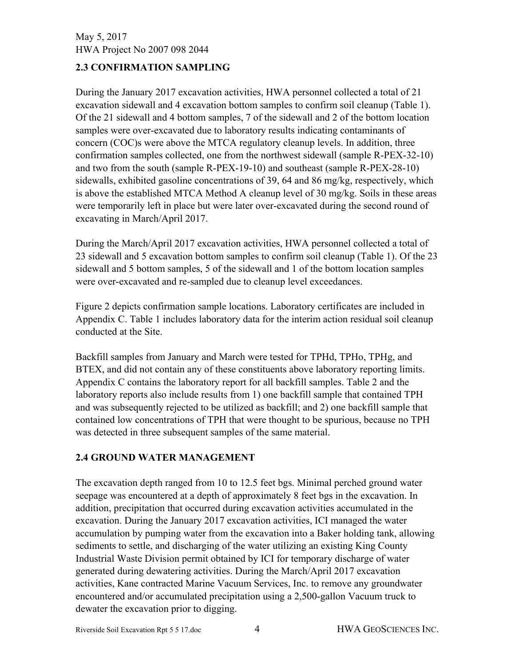### **2.3 CONFIRMATION SAMPLING**

During the January 2017 excavation activities, HWA personnel collected a total of 21 excavation sidewall and 4 excavation bottom samples to confirm soil cleanup (Table 1). Of the 21 sidewall and 4 bottom samples, 7 of the sidewall and 2 of the bottom location samples were over-excavated due to laboratory results indicating contaminants of concern (COC)s were above the MTCA regulatory cleanup levels. In addition, three confirmation samples collected, one from the northwest sidewall (sample R-PEX-32-10) and two from the south (sample R-PEX-19-10) and southeast (sample R-PEX-28-10) sidewalls, exhibited gasoline concentrations of 39, 64 and 86 mg/kg, respectively, which is above the established MTCA Method A cleanup level of 30 mg/kg. Soils in these areas were temporarily left in place but were later over-excavated during the second round of excavating in March/April 2017.

During the March/April 2017 excavation activities, HWA personnel collected a total of 23 sidewall and 5 excavation bottom samples to confirm soil cleanup (Table 1). Of the 23 sidewall and 5 bottom samples, 5 of the sidewall and 1 of the bottom location samples were over-excavated and re-sampled due to cleanup level exceedances.

Figure 2 depicts confirmation sample locations. Laboratory certificates are included in Appendix C. Table 1 includes laboratory data for the interim action residual soil cleanup conducted at the Site.

Backfill samples from January and March were tested for TPHd, TPHo, TPHg, and BTEX, and did not contain any of these constituents above laboratory reporting limits. Appendix C contains the laboratory report for all backfill samples. Table 2 and the laboratory reports also include results from 1) one backfill sample that contained TPH and was subsequently rejected to be utilized as backfill; and 2) one backfill sample that contained low concentrations of TPH that were thought to be spurious, because no TPH was detected in three subsequent samples of the same material.

#### **2.4 GROUND WATER MANAGEMENT**

The excavation depth ranged from 10 to 12.5 feet bgs. Minimal perched ground water seepage was encountered at a depth of approximately 8 feet bgs in the excavation. In addition, precipitation that occurred during excavation activities accumulated in the excavation. During the January 2017 excavation activities, ICI managed the water accumulation by pumping water from the excavation into a Baker holding tank, allowing sediments to settle, and discharging of the water utilizing an existing King County Industrial Waste Division permit obtained by ICI for temporary discharge of water generated during dewatering activities. During the March/April 2017 excavation activities, Kane contracted Marine Vacuum Services, Inc. to remove any groundwater encountered and/or accumulated precipitation using a 2,500-gallon Vacuum truck to dewater the excavation prior to digging.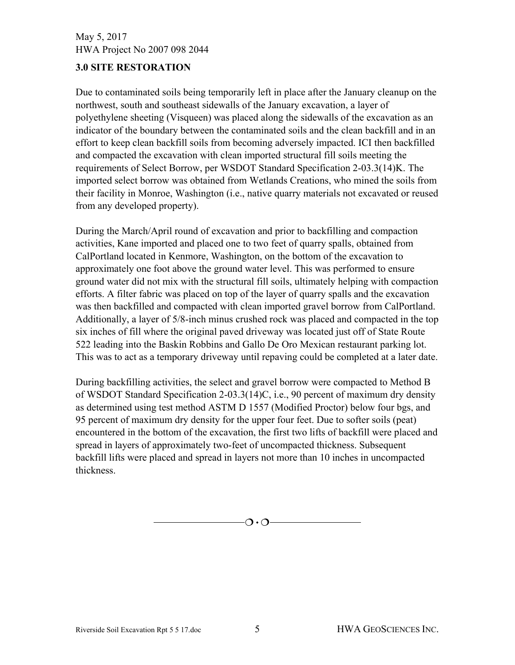#### **3.0 SITE RESTORATION**

Due to contaminated soils being temporarily left in place after the January cleanup on the northwest, south and southeast sidewalls of the January excavation, a layer of polyethylene sheeting (Visqueen) was placed along the sidewalls of the excavation as an indicator of the boundary between the contaminated soils and the clean backfill and in an effort to keep clean backfill soils from becoming adversely impacted. ICI then backfilled and compacted the excavation with clean imported structural fill soils meeting the requirements of Select Borrow, per WSDOT Standard Specification 2-03.3(14)K. The imported select borrow was obtained from Wetlands Creations, who mined the soils from their facility in Monroe, Washington (i.e., native quarry materials not excavated or reused from any developed property).

During the March/April round of excavation and prior to backfilling and compaction activities, Kane imported and placed one to two feet of quarry spalls, obtained from CalPortland located in Kenmore, Washington, on the bottom of the excavation to approximately one foot above the ground water level. This was performed to ensure ground water did not mix with the structural fill soils, ultimately helping with compaction efforts. A filter fabric was placed on top of the layer of quarry spalls and the excavation was then backfilled and compacted with clean imported gravel borrow from CalPortland. Additionally, a layer of 5/8-inch minus crushed rock was placed and compacted in the top six inches of fill where the original paved driveway was located just off of State Route 522 leading into the Baskin Robbins and Gallo De Oro Mexican restaurant parking lot. This was to act as a temporary driveway until repaving could be completed at a later date.

During backfilling activities, the select and gravel borrow were compacted to Method B of WSDOT Standard Specification 2-03.3(14)C, i.e., 90 percent of maximum dry density as determined using test method ASTM D 1557 (Modified Proctor) below four bgs, and 95 percent of maximum dry density for the upper four feet. Due to softer soils (peat) encountered in the bottom of the excavation, the first two lifts of backfill were placed and spread in layers of approximately two-feet of uncompacted thickness. Subsequent backfill lifts were placed and spread in layers not more than 10 inches in uncompacted thickness.

 $\overline{\phantom{a}}$   $\overline{\phantom{a}}$   $\overline{\phantom{a}}$   $\overline{\phantom{a}}$   $\overline{\phantom{a}}$   $\overline{\phantom{a}}$   $\overline{\phantom{a}}$   $\overline{\phantom{a}}$   $\overline{\phantom{a}}$   $\overline{\phantom{a}}$   $\overline{\phantom{a}}$   $\overline{\phantom{a}}$   $\overline{\phantom{a}}$   $\overline{\phantom{a}}$   $\overline{\phantom{a}}$   $\overline{\phantom{a}}$   $\overline{\phantom{a}}$   $\overline{\phantom{a}}$   $\overline{\$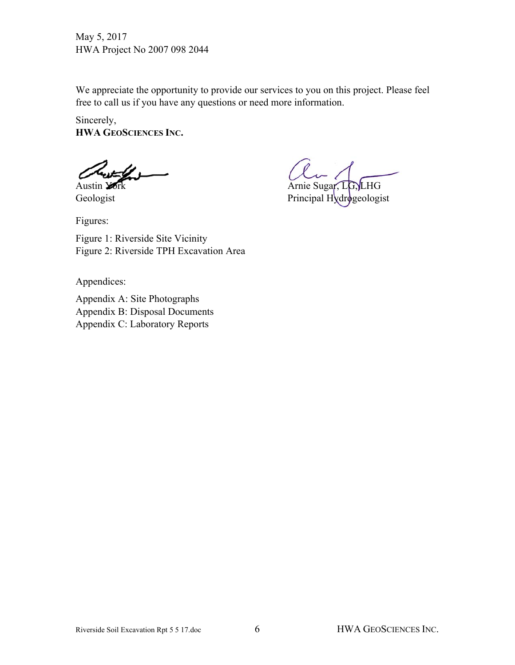We appreciate the opportunity to provide our services to you on this project. Please feel free to call us if you have any questions or need more information.

Sincerely, **HWA GEOSCIENCES INC.** 

استعددته

Figures:

Figure 1: Riverside Site Vicinity Figure 2: Riverside TPH Excavation Area

Appendices:

Appendix A: Site Photographs Appendix B: Disposal Documents Appendix C: Laboratory Reports

Austin York Arnie Sugar, LG, LHG

Geologist **Principal Hydrogeologist**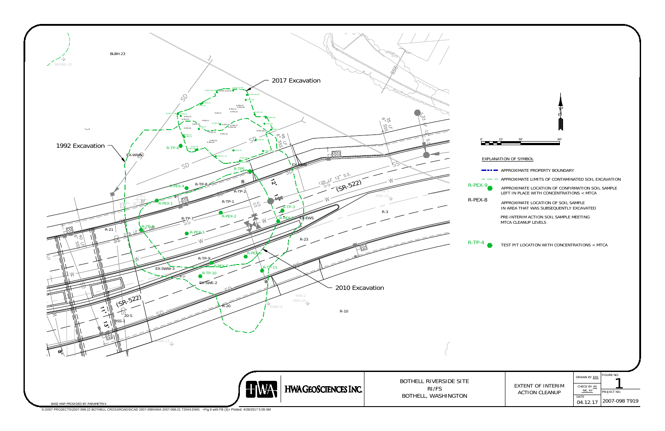

- 
- 
- 
- 
- 
- 

| <b>EXTENT OF INTERIM</b> | DRAWN BY EFK                 | FIGURE NO.    |
|--------------------------|------------------------------|---------------|
| <b>ACTION CLEANUP</b>    | <b>CHECK BY AS</b><br>NK, AY | PROJECT NO.   |
|                          | <b>DATE</b><br>04.12.17      | 2007-098 T919 |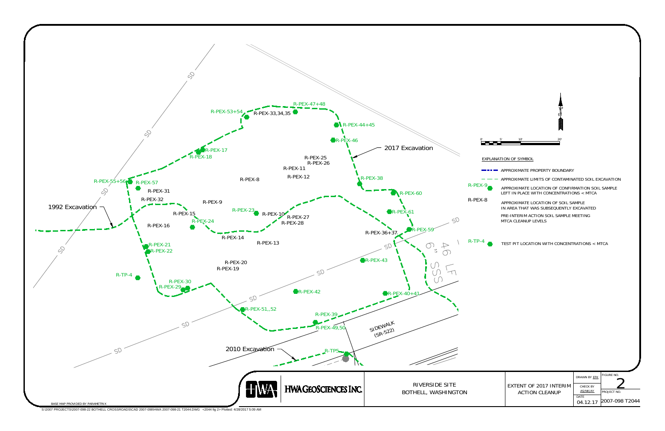|                                                        | DRAWN BY EFK                       | <b>FIGURE NO.</b> |
|--------------------------------------------------------|------------------------------------|-------------------|
| <b>EXTENT OF 2017 INTERIM</b><br><b>ACTION CLEANUP</b> | <b>CHECK BY</b><br><b>AS/NK/AY</b> | PROJECT NO.       |
|                                                        | <b>DATE</b><br>04.12.17            | 2007-098 T2044    |



- 
- 
-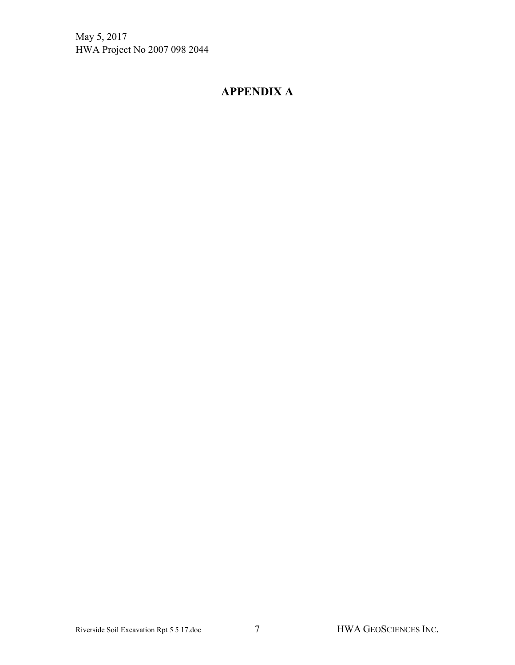# **APPENDIX A**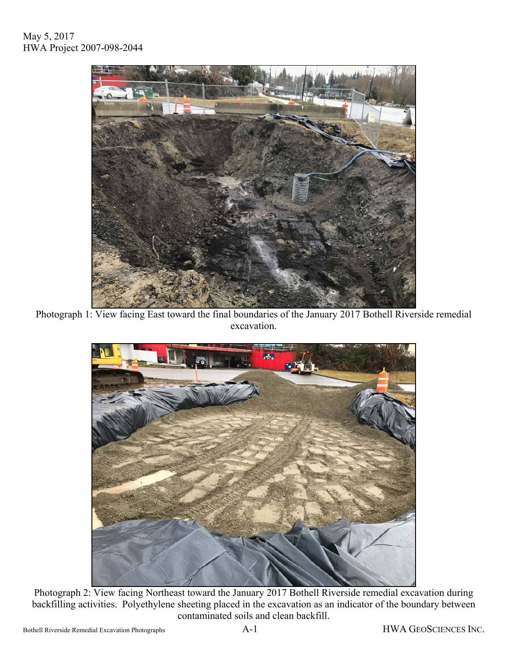

Photograph 1: View facing East toward the final boundaries of the January 2017 Bothell Riverside remedial excavation.



Photograph 2: View facing Northeast toward the January 2017 Bothell Riverside remedial excavation during backfilling activities. Polyethylene sheeting placed in the excavation as an indicator of the boundary between contaminated soils and clean backfill.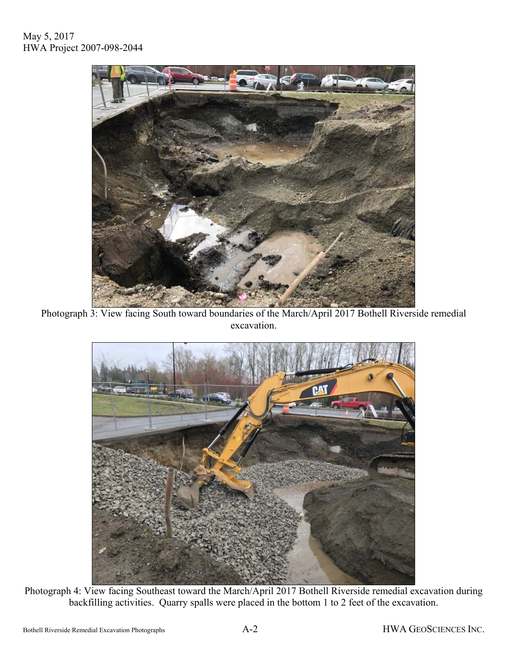

Photograph 3: View facing South toward boundaries of the March/April 2017 Bothell Riverside remedial excavation.



Photograph 4: View facing Southeast toward the March/April 2017 Bothell Riverside remedial excavation during backfilling activities. Quarry spalls were placed in the bottom 1 to 2 feet of the excavation.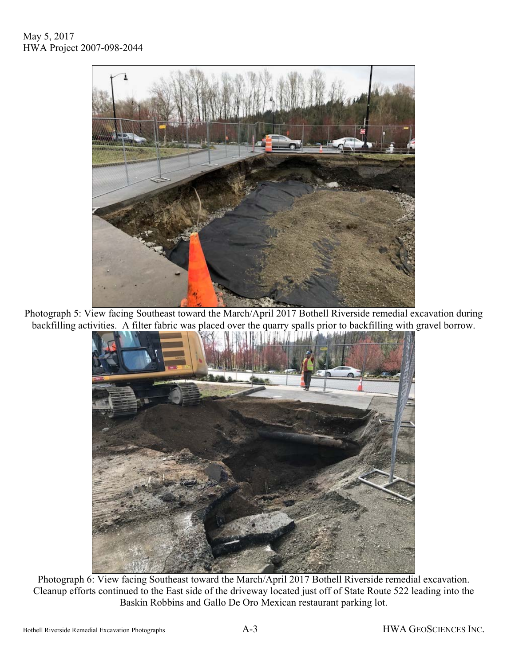

Photograph 5: View facing Southeast toward the March/April 2017 Bothell Riverside remedial excavation during backfilling activities. A filter fabric was placed over the quarry spalls prior to backfilling with gravel borrow.



Photograph 6: View facing Southeast toward the March/April 2017 Bothell Riverside remedial excavation. Cleanup efforts continued to the East side of the driveway located just off of State Route 522 leading into the Baskin Robbins and Gallo De Oro Mexican restaurant parking lot.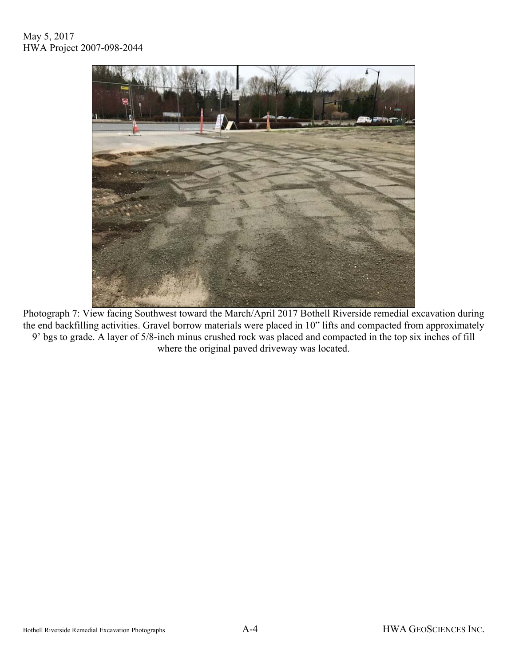

Photograph 7: View facing Southwest toward the March/April 2017 Bothell Riverside remedial excavation during the end backfilling activities. Gravel borrow materials were placed in 10" lifts and compacted from approximately 9' bgs to grade. A layer of 5/8-inch minus crushed rock was placed and compacted in the top six inches of fill where the original paved driveway was located.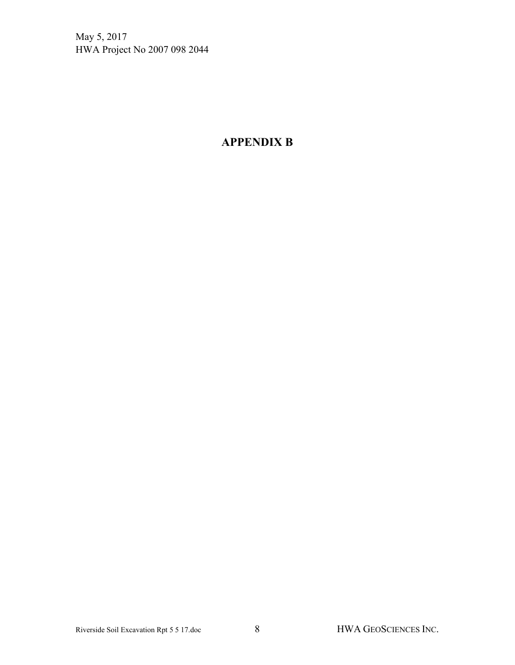## **APPENDIX B**